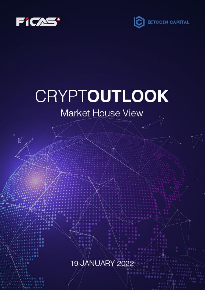

 $\overrightarrow{\mathbb{K}}$ 



# CRYPTOUTLOOK

# Market House View

**19 JANUARY 2022**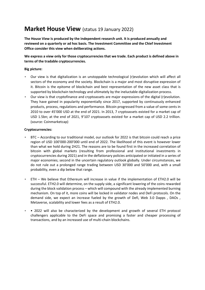## **Market House View** (status 19 January 2022)

**The House View is produced by the independent research unit. It is produced annually and reviewed on a quarterly or ad hoc basis. The Investment Committee and the Chief Investment Office consider this view when deliberating actions.**

**We express a view only for those cryptocurrencies that we trade. Each product is defined above in terms of the tradable cryptocurrencies.**

#### **Big picture:**

- Our view is that digitalization is an unstoppable technological (r)evolution which will affect all sectors of the economy and the society. Blockchain is a major and most disruptive expression of it. Bitcoin is the epitome of blockchain and best representation of the new asset class that is supported by blockchain technology and ultimately by the ineluctable digitalization process.
- Our view is that cryptofinance and cryptoassets are major expressions of the digital (r)evolution. They have gained in popularity exponentially since 2017, supported by continuously enhanced products, process, regulations and performance. Bitcoin progressed from a value of some cents in 2010 to over 45'000 USD at the end of 2021. In 2013, 7 cryptoassets existed for a market cap of USD 1.5bn; at the end of 2021, 9'107 cryptoassets existed for a market cap of USD 2.2 trillion. (source: Coinmarketcap)

#### **Cryptocurrencies:**

- BTC According to our traditional model, our outlook for 2022 is that bitcoin could reach a price region of USD 100'000-200'000 until end of 2022. The likelihood of this event is however lower than what we hold during 2H21. The reasons are to be found first in the increased correlation of bitcoin with global markets (resulting from professional and institutional investments in cryptocurrencies during 2021) and in the deflationary policies anticipated or initiated in a series of major economies; second in the uncertain regulatory outlook globally. Under circumstances, we do not rule out a prolonged range trading between USD 30'000 and 50'000 and, with a small probability, even a dip below that range.
- ETH We believe that Ethereum will increase in value if the implementation of ETH2.0 will be successful. ETH2.0 will determine, on the supply side, a significant lowering of the coins rewarded during the block validation process – which will compound with the already implemented burning mechanism. On top of it, more coins will be locked in validator nodes and DeFi protocols. On the demand side, we expect an increase fueled by the growth of Defi, Web 3.0 Dapps , DAOs , Metaverse, scalability and lower fees as a result of ETH2.0.
- • 2022 will also be characterized by the development and growth of several ETH protocol challengers applicable to the DeFi space and promising a faster and cheaper processing of transactions, and by an increased use of multi-chain blockchains.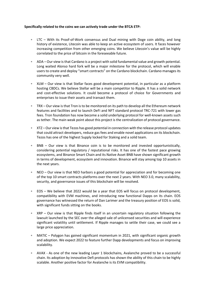#### **Specifically related to the coins we can actively trade under the BTCA ETP:**

- LTC With its Proof-of-Work consensus and Dual mining with Doge coin ability, and long history of existence, Litecoin was able to keep an active ecosystem of users. It faces however increasing competition from other emerging coins. We believe Litecoin's value will be highly correlated to the price of bitcoin in the foreseeable future.
- ADA Our view is that Cardano is a project with solid fundamental value and growth potential. Long waited Alonso hard fork will be a major milestone for the protocol, which will enable users to create and deploy "smart contracts" on the Cardano blockchain. Cardano manages its community very well.
- XLM Our view is that Stellar faces good development potential, in particular as a platform hosting CBDCs. We believe Stellar will be a main competitor to Ripple. It has a solid network and cost-effective solutions. It could become a protocol of choice for Governments and enterprises to issue their assets and transact them.
- TRX Our view is that Tron is to be monitored on its path to develop all the Ethereum network features and facilities and to launch DeFi and NFT standard protocol TRC-721 with lower gas fees. Tron foundation has now become a solid underlying protocol for well-known assets such as tether. The main weak point about this project is the centralization of protocol governance.
- XTZ Our view is that Tezos has good potential in connection with the release protocol updates that could attract developers, reduce gas fees and enable novel applications on its blockchain. Tezos has one of the highest Supply locked for Staking and a solid team.
- BNB Our view is that Binance coin is to be monitored and invested opportunistically, considering potential regulatory / reputational risks. It has one of the fastest pace growing ecosystems, and Binance Smart Chain and its Native Asset BNB have shown significant growth in terms of development, ecosystem and innovation. Binance will stay among top 10 assets in the next years.
- NEO Our view is that NEO harbors a good potential for appreciation and for becoming one of the top 10 smart contracts platforms over the next 2 years. With NEO 3.0, many scalability, security, and governance issues of this blockchain will be resolved.
- EOS We believe that 2022 would be a year that EOS will focus on protocol development, compatibility with EVM machines, and introducing new functional Dapps on its chain. EOS governance has witnessed the return of Dan Larimer and the treasury position of EOS is solid, with significant funds sitting on the books.
- XRP Our view is that Ripple finds itself in an uncertain regulatory situation following the lawsuit launched by the SEC over the alleged sale of unlicensed securities and will experience significant volatility until settlement. If Ripple manages to settle their case, we could see a large price appreciation.
- MATIC Polygon has gained significant momentum in 2021, with significant organic growth and adoption. We expect 2022 to feature further Dapp developments and focus on improving scalability.
- AVAX As one of the new leading Layer 1 blockchains, Avalanche proved to be a successful chain. Its adoption by innovative Defi protocols has shown the ability of this chain to be highly scalable. Another positive factor for Avalanche is its EVM compatibility.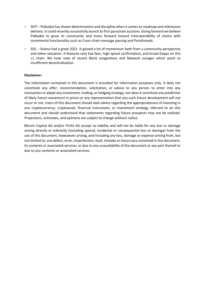- DOT Polkadot has shown determination and discipline when it comes to roadmap and milestones delivery. It could recently successfully launch its first parachain auctions. Going forward we believe Polkadot to grow its community and move forward toward interoperability of chains with incremental functionality such as Cross-chain message passing and Parathreads.
- SOL Solana had a great 2021. It gained a lot of momentum both from a community perspective and token valuation. It features very low fees, high-speed confirmation, and broad Dapps on this L1 chain. We took note of recent Block congestions and Network outages which point to insufficient decentralization.

#### **Disclaimer:**

The information contained in this document is provided for information purposes only. It does not constitute any offer, recommendation, solicitation, or advice to any person to enter into any transaction or adopt any investment, trading, or hedging strategy, nor does it constitute any prediction of likely future movement in prices or any representation that any such future development will not occur or not. Users of this document should seek advice regarding the appropriateness of investing in any cryptocurrency, cryptoasset, financial instrument, or investment strategy referred to on this document and should understand that statements regarding future prospects may not be realized. Projections, estimates, and opinions are subject to change without notice.

Bitcoin Capital AG and/or FiCAS AG accept no liability and will not be liable for any loss or damage arising directly or indirectly (including special, incidental or consequential loss or damage) from the use of this document, howsoever arising, and including any loss, damage or expense arising from, but not limited to, any defect, error, imperfection, fault, mistake or inaccuracy contained in this document, its contents or associated services, or due to any unavailability of the document or any part thereof or due to any contents or associated services.